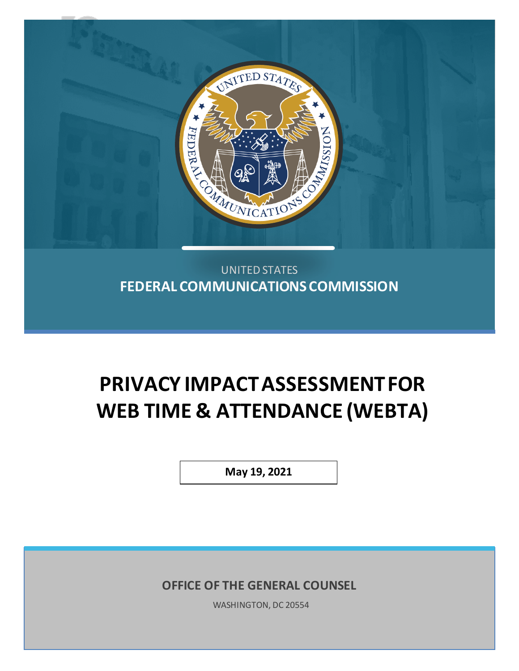

# UNITED STATES **FEDERAL COMMUNICATIONS COMMISSION**

# **PRIVACY IMPACT ASSESSMENTFOR WEB TIME & ATTENDANCE (WEBTA)**

**May 19, 2021**

**OFFICE OF THE GENERAL COUNSEL**

WASHINGTON, DC 20554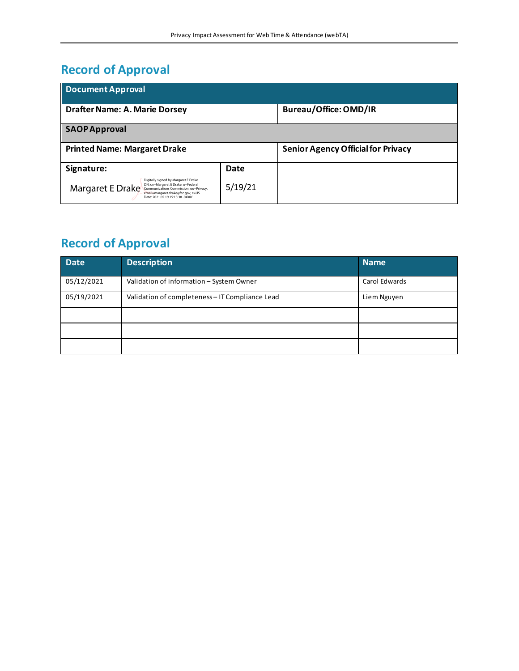# **Record of Approval**

| <b>Document Approval</b>                                                                                                                                                                                            |         |                                           |  |  |  |  |
|---------------------------------------------------------------------------------------------------------------------------------------------------------------------------------------------------------------------|---------|-------------------------------------------|--|--|--|--|
| <b>Drafter Name: A. Marie Dorsey</b>                                                                                                                                                                                |         | Bureau/Office: OMD/IR                     |  |  |  |  |
| <b>SAOPApproval</b>                                                                                                                                                                                                 |         |                                           |  |  |  |  |
| <b>Printed Name: Margaret Drake</b>                                                                                                                                                                                 |         | <b>Senior Agency Official for Privacy</b> |  |  |  |  |
| Signature:                                                                                                                                                                                                          | Date    |                                           |  |  |  |  |
| Digitally signed by Margaret E Drake<br>DN: cn=Margaret E Drake, o=Federal<br>Margaret E Drake<br>Communications Commission, ou=Privacy,<br>email=margaret.drake@fcc.gov, c=US<br>Date: 2021.05.19 15:13:38 -04'00' | 5/19/21 |                                           |  |  |  |  |

# **Record of Approval**

| <b>Date</b> | <b>Description</b>                              | <b>Name</b>   |
|-------------|-------------------------------------------------|---------------|
| 05/12/2021  | Validation of information - System Owner        | Carol Edwards |
| 05/19/2021  | Validation of completeness - IT Compliance Lead | Liem Nguyen   |
|             |                                                 |               |
|             |                                                 |               |
|             |                                                 |               |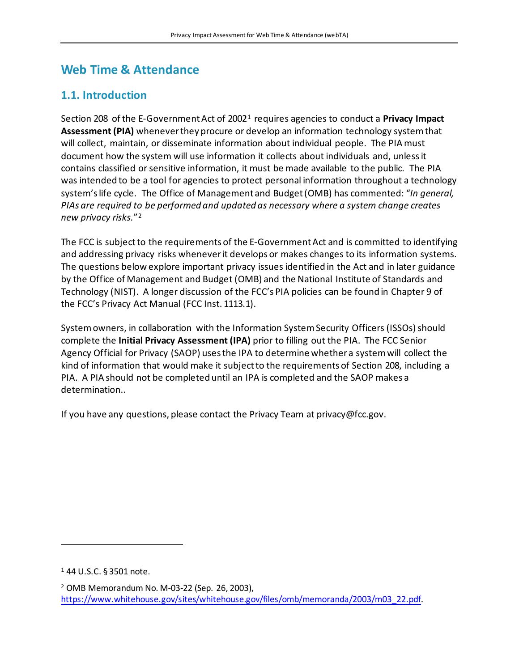# **Web Time & Attendance**

#### **1.1. Introduction**

Section 208 of the E-Government Act of 2002[1](#page-2-0) requires agencies to conduct a **Privacy Impact Assessment (PIA)** whenever they procure or develop an information technology system that will collect, maintain, or disseminate information about individual people. The PIA must document how the system will use information it collects about individuals and, unless it contains classified or sensitive information, it must be made available to the public. The PIA was intended to be a tool for agencies to protect personal information throughout a technology system's life cycle. The Office of Management and Budget (OMB) has commented: "*In general, PIAs are required to be performed and updated as necessary where a system change creates new privacy risks.*"[2](#page-2-1)

The FCC is subject to the requirements of the E-Government Act and is committed to identifying and addressing privacy risks whenever it develops or makes changes to its information systems. The questions below explore important privacy issues identified in the Act and in later guidance by the Office of Management and Budget (OMB) and the National Institute of Standards and Technology (NIST). A longer discussion of the FCC's PIA policies can be found in Chapter 9 of the FCC's Privacy Act Manual (FCC Inst. 1113.1).

System owners, in collaboration with the Information System Security Officers (ISSOs)should complete the **Initial Privacy Assessment (IPA)** prior to filling out the PIA. The FCC Senior Agency Official for Privacy (SAOP) usesthe IPA to determine whether a system will collect the kind of information that would make it subject to the requirements of Section 208, including a PIA. A PIA should not be completed until an IPA is completed and the SAOP makes a determination..

If you have any questions, please contact the Privacy Team at privacy@fcc.gov.

<span id="page-2-0"></span><sup>1</sup> 44 U.S.C. § 3501 note.

<span id="page-2-1"></span><sup>2</sup> OMB Memorandum No. M-03-22 (Sep. 26, 2003), [https://www.whitehouse.gov/sites/whitehouse.gov/files/omb/memoranda/2003/m03\\_22.pdf.](https://www.whitehouse.gov/sites/whitehouse.gov/files/omb/memoranda/2003/m03_22.pdf)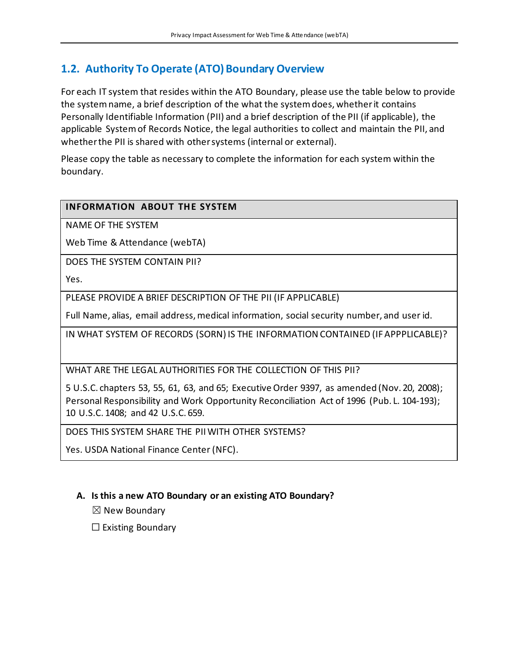## **1.2. Authority To Operate (ATO) Boundary Overview**

For each IT system that resides within the ATO Boundary, please use the table below to provide the system name, a brief description of the what the system does, whether it contains Personally Identifiable Information (PII) and a brief description of the PII (if applicable), the applicable System of Records Notice, the legal authorities to collect and maintain the PII, and whether the PII is shared with other systems (internal or external).

Please copy the table as necessary to complete the information for each system within the boundary.

#### **INFORMATION ABOUT THE SYSTEM**

NAME OF THE SYSTEM

Web Time & Attendance (webTA)

DOES THE SYSTEM CONTAIN PII?

Yes.

PLEASE PROVIDE A BRIEF DESCRIPTION OF THE PII (IF APPLICABLE)

Full Name, alias, email address, medical information, social security number, and user id.

IN WHAT SYSTEM OF RECORDS (SORN) IS THE INFORMATION CONTAINED (IF APPPLICABLE)?

WHAT ARE THE LEGAL AUTHORITIES FOR THE COLLECTION OF THIS PII?

5 U.S.C. chapters 53, 55, 61, 63, and 65; Executive Order 9397, as amended (Nov. 20, 2008); Personal Responsibility and Work Opportunity Reconciliation Act of 1996 (Pub. L. 104-193); 10 U.S.C. 1408; and 42 U.S.C. 659.

DOES THIS SYSTEM SHARE THE PII WITH OTHER SYSTEMS?

Yes. USDA National Finance Center (NFC).

#### **A. Is this a new ATO Boundary or an existing ATO Boundary?**

 $\boxtimes$  New Boundary

 $\Box$  Existing Boundary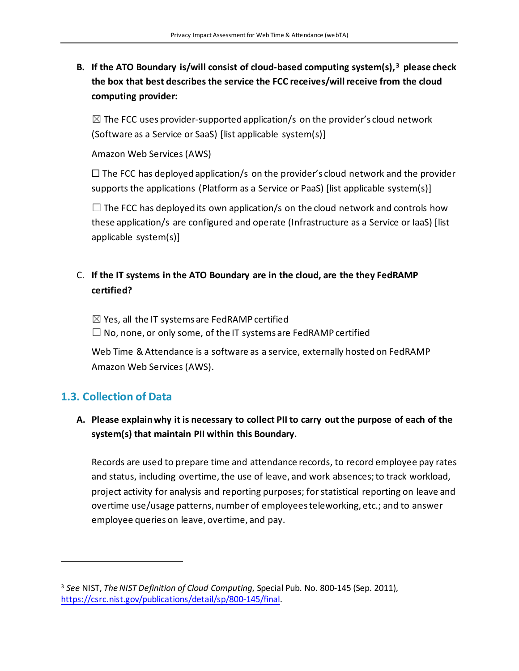### **B. If the ATO Boundary is/will consist of cloud-based computing system(s),[3](#page-4-0) please check the box that best describes the service the FCC receives/will receive from the cloud computing provider:**

 $\boxtimes$  The FCC uses provider-supported application/s on the provider's cloud network (Software as a Service or SaaS) [list applicable system(s)]

Amazon Web Services (AWS)

 $\Box$  The FCC has deployed application/s on the provider's cloud network and the provider supports the applications (Platform as a Service or PaaS) [list applicable system(s)]

 $\Box$  The FCC has deployed its own application/s on the cloud network and controls how these application/s are configured and operate (Infrastructure as a Service or IaaS) [list applicable system(s)]

#### C. **If the IT systems in the ATO Boundary are in the cloud, are the they FedRAMP certified?**

 $\boxtimes$  Yes, all the IT systems are FedRAMP certified  $\Box$  No, none, or only some, of the IT systems are FedRAMP certified

Web Time & Attendance is a software as a service, externally hosted on FedRAMP Amazon Web Services (AWS).

## **1.3. Collection of Data**

#### **A. Please explain why it is necessary to collect PII to carry out the purpose of each of the system(s) that maintain PII within this Boundary.**

Records are used to prepare time and attendance records, to record employee pay rates and status, including overtime, the use of leave, and work absences; to track workload, project activity for analysis and reporting purposes; for statistical reporting on leave and overtime use/usage patterns, number of employees teleworking, etc.; and to answer employee queries on leave, overtime, and pay.

<span id="page-4-0"></span><sup>3</sup> *See* NIST, *The NIST Definition of Cloud Computing*, Special Pub. No. 800-145 (Sep. 2011), [https://csrc.nist.gov/publications/detail/sp/800-145/final.](https://csrc.nist.gov/publications/detail/sp/800-145/final)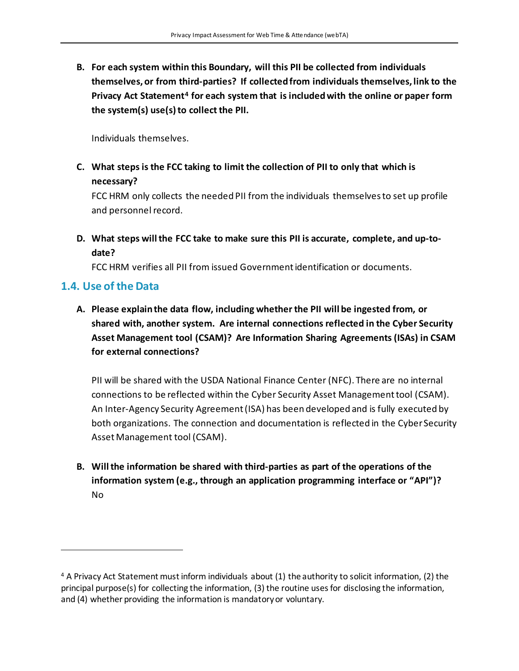**B. For each system within this Boundary, will this PII be collected from individuals themselves, or from third-parties? If collected from individuals themselves, link to the Privacy Act Statement[4](#page-5-0) for each system that is included with the online or paper form** the system(s) use(s) to collect the PII.

Individuals themselves.

**C. What steps is the FCC taking to limit the collection of PII to only that which is necessary?**

FCC HRM only collects the needed PII from the individuals themselves to set up profile and personnel record.

**D. What steps will the FCC take to make sure this PII is accurate, complete, and up-todate?** 

FCC HRM verifies all PII from issued Government identification or documents.

#### **1.4. Use of the Data**

**A. Please explain the data flow, including whether the PII will be ingested from, or shared with, another system. Are internal connections reflected in the Cyber Security Asset Management tool (CSAM)? Are Information Sharing Agreements (ISAs) in CSAM for external connections?**

PII will be shared with the USDA National Finance Center (NFC). There are no internal connections to be reflected within the Cyber Security Asset Management tool (CSAM). An Inter-Agency Security Agreement (ISA) has been developed and is fully executed by both organizations. The connection and documentation is reflected in the Cyber Security Asset Management tool (CSAM).

**B. Will the information be shared with third-parties as part of the operations of the information system (e.g., through an application programming interface or "API")?** No

<span id="page-5-0"></span><sup>4</sup> A Privacy Act Statement must inform individuals about (1) the authority to solicit information, (2) the principal purpose(s) for collecting the information, (3) the routine uses for disclosing the information, and (4) whether providing the information is mandatory or voluntary.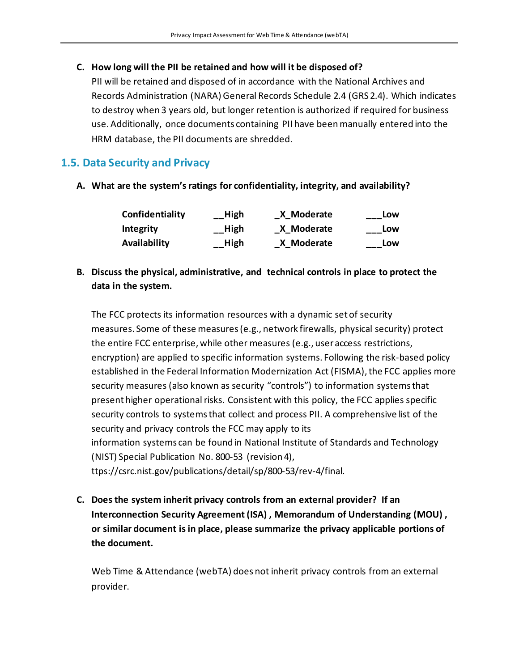#### **C. How long will the PII be retained and how will it be disposed of?**

PII will be retained and disposed of in accordance with the National Archives and Records Administration (NARA) General Records Schedule 2.4 (GRS 2.4). Which indicates to destroy when 3 years old, but longer retention is authorized if required for business use. Additionally, once documents containing PII have beenmanually entered into the HRM database, the PII documents are shredded.

#### **1.5. Data Security and Privacy**

**A. What are the system's ratings for confidentiality, integrity, and availability?**

| Confidentiality | High | X Moderate | Low |
|-----------------|------|------------|-----|
| Integrity       | High | X Moderate | Low |
| Availability    | High | X Moderate | Low |

#### **B. Discuss the physical, administrative, and technical controls in place to protect the data in the system.**

The FCC protects its information resources with a dynamic set of security measures. Some of these measures (e.g., network firewalls, physical security) protect the entire FCC enterprise, while other measures (e.g., user access restrictions, encryption) are applied to specific information systems. Following the risk-based policy established in the Federal Information Modernization Act (FISMA), the FCC applies more security measures (also known as security "controls") to information systems that present higher operational risks. Consistent with this policy, the FCC applies specific security controls to systems that collect and process PII. A comprehensive list of the security and privacy controls the FCC may apply to its information systems can be found in National Institute of Standards and Technology (NIST) Special Publication No. 800-53 (revision 4), ttps://csrc.nist.gov/publications/detail/sp/800-53/rev-4/final.

**C. Does the system inherit privacy controls from an external provider? If an Interconnection Security Agreement (ISA) , Memorandum of Understanding (MOU) , or similar document is in place, please summarize the privacy applicable portions of the document.** 

Web Time & Attendance (webTA) does not inherit privacy controls from an external provider.